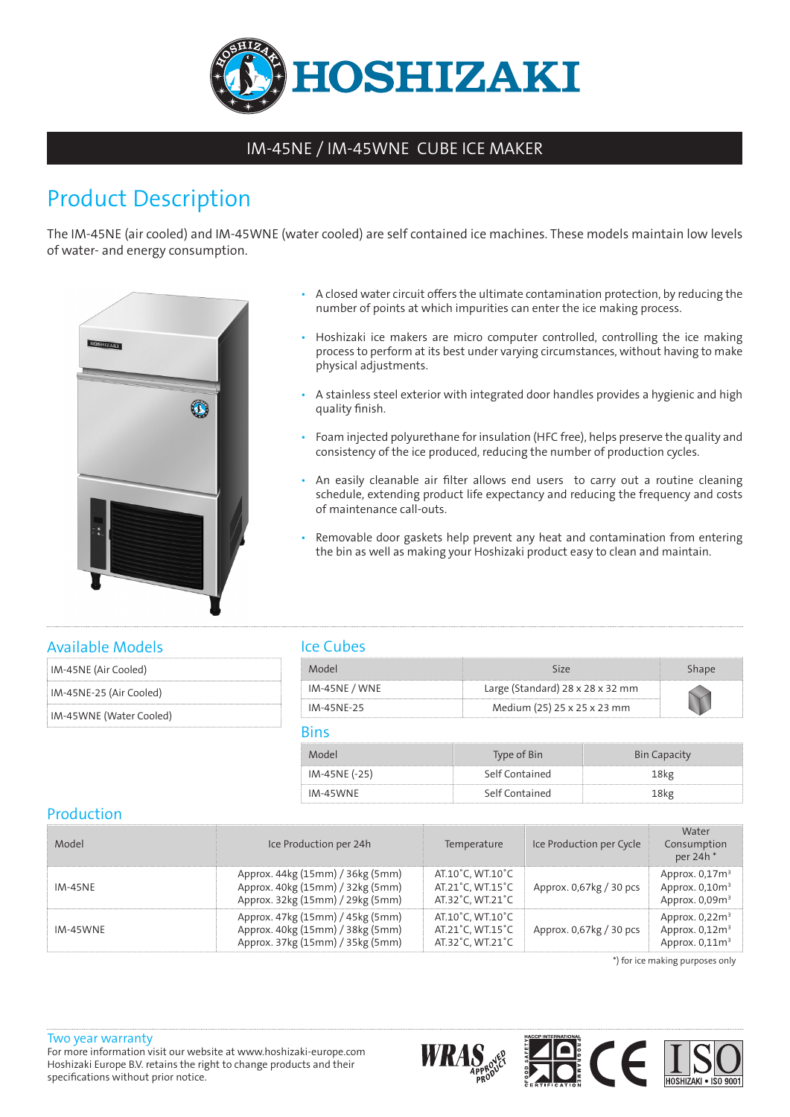

## IM-45NE / IM-45WNE CUBE ICE MAKER

# Product Description

The IM-45NE (air cooled) and IM-45WNE (water cooled) are self contained ice machines. These models maintain low levels of water- and energy consumption.



- A closed water circuit offers the ultimate contamination protection, by reducing the number of points at which impurities can enter the ice making process.
- Hoshizaki ice makers are micro computer controlled, controlling the ice making process to perform at its best under varying circumstances, without having to make physical adjustments.
- A stainless steel exterior with integrated door handles provides a hygienic and high quality finish.
- Foam injected polyurethane for insulation (HFC free), helps preserve the quality and consistency of the ice produced, reducing the number of production cycles.
- An easily cleanable air filter allows end users to carry out a routine cleaning schedule, extending product life expectancy and reducing the frequency and costs of maintenance call-outs.
- Removable door gaskets help prevent any heat and contamination from entering the bin as well as making your Hoshizaki product easy to clean and maintain.

### Available Models

| IM-45NE (Air Cooled) |
|----------------------|
|                      |

IM-45NE-25 (Air Cooled)

IM-45WNE (Water Cooled)

## Ice Cubes

| Mode            |                                              |  |
|-----------------|----------------------------------------------|--|
| $IM-45NE / WNE$ | Large (Standard) $28 \times 28 \times 32$ mm |  |
| IM-45NF-25      | Medium (25) 25 x 25 x 23 mm                  |  |

#### Bins

| Model         | Type of Bin    | <b>Bin Capacity</b> |
|---------------|----------------|---------------------|
| IM-45NE (-25) | Self Contained | 8kg                 |
| IM-45WNE      | Self Contained | 8ko                 |

## Production

| Model          | Ice Production per 24h                                                                                   | Temperature                                              | Ice Production per Cycle | Water<br>Consumption<br>per 24h <sup>*</sup>              |
|----------------|----------------------------------------------------------------------------------------------------------|----------------------------------------------------------|--------------------------|-----------------------------------------------------------|
| <b>IM-45NE</b> | Approx. 44kg (15mm) / 36kg (5mm)<br>Approx. 40kg (15mm) / 32kg (5mm)<br>Approx. 32kg (15mm) / 29kg (5mm) | AT.10°C. WT.10°C<br>AT.21°C. WT.15°C<br>AT.32°C, WT.21°C | Approx. 0.67 kg / 30 pcs | Approx. $0.173$<br>Approx. $0,10m^3$<br>Approx. $0,09m^3$ |
| IM-45WNE       | Approx. 47kg (15mm) / 45kg (5mm)<br>Approx. 40kg (15mm) / 38kg (5mm)<br>Approx. 37kg (15mm) / 35kg (5mm) | AT.10°C. WT.10°C<br>AT.21°C, WT.15°C<br>AT.32°C, WT.21°C | Approx. 0.67 kg / 30 pcs | Approx. $0,22m3$<br>Approx. $0,12m3$<br>Approx. $0,11m3$  |

\*) for ice making purposes only

#### Two year warranty For more information visit our website at www.hoshizaki-europe.com Hoshizaki Europe B.V. retains the right to change products and their specifications without prior notice.